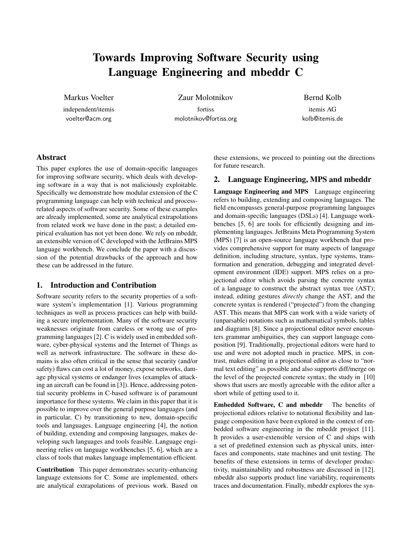# Towards Improving Software Security using Language Engineering and mbeddr C

Markus Voelter

independent/itemis voelter@acm.org

Zaur Molotnikov

fortiss molotnikov@fortiss.org Bernd Kolb

itemis AG kolb@itemis.de

# Abstract

This paper explores the use of domain-specific languages for improving software security, which deals with developing software in a way that is not maliciously exploitable. Specifically we demonstrate how modular extension of the C programming language can help with technical and processrelated aspects of software security. Some of these examples are already implemented, some are analytical extrapolations from related work we have done in the past; a detailed empirical evaluation has not yet been done. We rely on mbeddr, an extensible version of C developed with the JetBrains MPS language workbench. We conclude the paper with a discussion of the potential drawbacks of the approach and how these can be addressed in the future.

# 1. Introduction and Contribution

Software security refers to the security properties of a software system's implementation [1]. Various programming techniques as well as process practices can help with building a secure implementation. Many of the software security weaknesses originate from careless or wrong use of programming languages [2]. C is widely used in embedded software, cyber-physical systems and the Internet of Things as well as network infrastructure. The software in these domains is also often critical in the sense that security (and/or safety) flaws can cost a lot of money, expose networks, damage physical systems or endanger lives (examples of attacking an aircraft can be found in [3]). Hence, addressing potential security problems in C-based software is of paramount importance for these systems. We claim in this paper that it is possible to improve over the general purpose languages (and in particular, C) by transitioning to new, domain-specific tools and languages. Language engineering [4], the notion of building, extending and composing languages, makes developing such languages and tools feasible. Language engineering relies on language workbenches [5, 6], which are a class of tools that makes language implementation efficient.

Contribution This paper demonstrates security-enhancing language extensions for C. Some are implemented, others are analytical extrapolations of previous work. Based on these extensions, we proceed to pointing out the directions for future research.

# 2. Language Engineering, MPS and mbeddr

Language Engineering and MPS Language engineering refers to building, extending and composing languages. The field encompasses general-purpose programming languages and domain-specific languages (DSLs) [4]. Language workbenches [5, 6] are tools for efficiently designing and implementing languages. JetBrains Meta Programming System (MPS) [7] is an open-source language workbench that provides comprehensive support for many aspects of language definition, including structure, syntax, type systems, transformation and generation, debugging and integrated development environment (IDE) support. MPS relies on a projectional editor which avoids parsing the concrete syntax of a language to construct the abstract syntax tree (AST); instead, editing gestures *directly* change the AST, and the concrete syntax is rendered ("projected") from the changing AST. This means that MPS can work with a wide variety of (unparsable) notations such as mathematical symbols, tables and diagrams [8]. Since a projectional editor never encounters grammar ambiguities, they can support language composition [9]. Traditionally, projectional editors were hard to use and were not adopted much in practice. MPS, in contrast, makes editing in a projectional editor as close to "normal text editing" as possible and also supports diff/merge on the level of the projected concrete syntax; the study in [10] shows that users are mostly agreeable with the editor after a short while of getting used to it.

Embedded Software, C and mbeddr The benefits of projectional editors relative to notational flexibility and language composition have been explored in the context of embedded software engineering in the mbeddr project [11]. It provides a user-extensible version of C and ships with a set of predefined extension such as physical units, interfaces and components, state machines and unit testing. The benefits of these extensions in terms of developer productivity, maintainability and robustness are discussed in [12]. mbeddr also supports product line variability, requirements traces and documentation. Finally, mbeddr explores the syn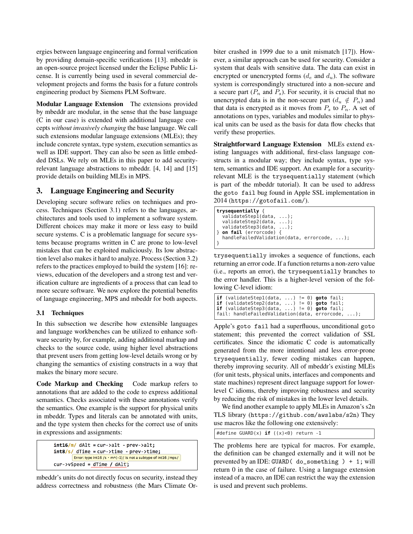ergies between language engineering and formal verification by providing domain-specific verifications [13]. mbeddr is an open-source project licensed under the Eclipse Public License. It is currently being used in several commercial development projects and forms the basis for a future controls engineering product by Siemens PLM Software.

Modular Language Extension The extensions provided by mbeddr are modular, in the sense that the base language (C in our case) is extended with additional language concepts *without invasively changing* the base language. We call such extensions modular language extensions (MLEs); they include concrete syntax, type system, execution semantics as well as IDE support. They can also be seen as little embedded DSLs. We rely on MLEs in this paper to add securityrelevant language abstractions to mbeddr. [4, 14] and [15] provide details on building MLEs in MPS.

# 3. Language Engineering and Security

Developing secure software relies on techniques and process. Techniques (Section 3.1) refers to the languages, architectures and tools used to implement a software system. Different choices may make it more or less easy to build secure systems. C is a problematic language for secure systems because programs written in C are prone to low-level mistakes that can be exploited maliciously. Its low abstraction level also makes it hard to analyze. Process (Section 3.2) refers to the practices employed to build the system [16]: reviews, education of the developers and a strong test and verification culture are ingredients of a process that can lead to more secure software. We now explore the potential benefits of language engineering, MPS and mbeddr for both aspects.

# 3.1 Techniques

In this subsection we describe how extensible languages and language workbenches can be utilized to enhance software security by, for example, adding additional markup and checks to the source code, using higher level abstractions that prevent users from getting low-level details wrong or by changing the semantics of existing constructs in a way that makes the binary more secure.

Code Markup and Checking Code markup refers to annotations that are added to the code to express additional semantics. Checks associated with these annotations verify the semantics. One example is the support for physical units in mbeddr. Types and literals can be annotated with units, and the type system then checks for the correct use of units in expressions and assignments:

```
int16/m/dAlt = cur-yalt - prev-yalt;int8/s/ dTime = cur->time - prev->time;
        Error: type int16 /s \cdot m^(-1)/ is not a subtype of int16 /mps/
cur->vSpeed = dTime / dAlt;
```
mbeddr's units do not directly focus on security, instead they address correctness and robustness (the Mars Climate Orbiter crashed in 1999 due to a unit mismatch [17]). However, a similar approach can be used for security. Consider a system that deals with sensitive data. The data can exist in encrypted or unencrypted forms  $(d_e \text{ and } d_u)$ . The software system is correspondingly structured into a non-secure and a secure part  $(P_n$  and  $P_s$ ). For security, it is crucial that no unencrypted data is in the non-secure part  $(d_u \notin P_n)$  and that data is encrypted as it moves from  $P_s$  to  $P_n$ . A set of annotations on types, variables and modules similar to physical units can be used as the basis for data flow checks that verify these properties.

Straightforward Language Extension MLEs extend existing languages with additional, first-class language constructs in a modular way; they include syntax, type system, semantics and IDE support. An example for a securityrelevant MLE is the trysequentially statement (which is part of the mbeddr tutorial). It can be used to address the goto fail bug found in Apple SSL implementation in 2014 (https://gotofail.com/).

```
trysequentially {
  validateStep1(data, ...);
  validateStep2(data, ...);
  validateStep3(data, ...);
} on fail (errorcode) {
  handleFailedValidation(data, errorcode, ...);
}
```
trysequentially invokes a sequence of functions, each returning an error code. If a function returns a non-zero value (i.e., reports an error), the trysequentially branches to the error handler. This is a higher-level version of the following C-level idiom:

```
if (validateStep1(data, ...) != 0) goto fail;
if (validateStep2(data, ...) != 0) goto fail;
if (validateStep3(data, ...) != 0) goto fail;
fail: handleFailedValidation(data, errorcode, ...);
```
Apple's goto fail had a superfluous, unconditional goto statement; this prevented the correct validation of SSL certificates. Since the idiomatic C code is automatically generated from the more intentional and less error-prone trysequentially, fewer coding mistakes can happen, thereby improving security. All of mbeddr's existing MLEs (for unit tests, physical units, interfaces and components and state machines) represent direct language support for lowerlevel C idioms, thereby improving robustness and security by reducing the risk of mistakes in the lower level details.

We find another example to apply MLEs in Amazon's s2n TLS library (https://github.com/awslabs/s2n) They use macros like the following one extensively:

#define GUARD(x) **if** ((x)<0) return -1

The problems here are typical for macros. For example, the definition can be changed externally and it will not be prevented by an IDE: GUARD( do\_something ) + 1; will return 0 in the case of failure. Using a language extension instead of a macro, an IDE can restrict the way the extension is used and prevent such problems.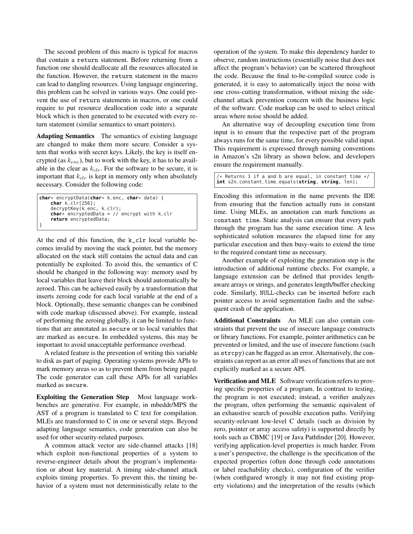The second problem of this macro is typical for macros that contain a return statement. Before returning from a function one should deallocate all the resources allocated in the function. However, the return statement in the macro can lead to dangling resources. Using language engineering, this problem can be solved in various ways. One could prevent the use of return statements in macros, or one could require to put resource deallocation code into a separate block which is then generated to be executed with every return statement (similar semantics to smart pointers).

Adapting Semantics The semantics of existing language are changed to make them more secure. Consider a system that works with secret keys. Likely, the key is itself encrypted (as  $k_{enc}$ ), but to work with the key, it has to be available in the clear as  $k_{clr}$ . For the software to be secure, it is important that  $k_{clr}$  is kept in memory only when absolutely necessary. Consider the following code:

```
char* encryptData(char* k_enc, char* data) {
    char k_clr[256];
    decryptKey(k_enc, k_clr);
    char* encryptedData = // encrypt with k_clr
    return encryptedData;
}
```
At the end of this function, the k\_clr local variable becomes invalid by moving the stack pointer, but the memory allocated on the stack still contains the actual data and can potentially be exploited. To avoid this, the semantics of C should be changed in the following way: memory used by local variables that leave their block should automatically be zeroed. This can be achieved easily by a transformation that inserts zeroing code for each local variable at the end of a block. Optionally, these semantic changes can be combined with code markup (discussed above). For example, instead of performing the zeroing globally, it can be limited to functions that are annotated as secure or to local variables that are marked as secure. In embedded systems, this may be important to avoid unacceptable performance overhead.

A related feature is the prevention of writing this variable to disk as part of paging. Operating systems provide APIs to mark memory areas so as to prevent them from being paged. The code generator can call these APIs for all variables marked as secure.

Exploiting the Generation Step Most language workbenches are generative. For example, in mbeddr/MPS the AST of a program is translated to C text for compilation. MLEs are transformed to C in one or several steps. Beyond adapting language semantics, code generation can also be used for other security-related purposes.

A common attack vector are side-channel attacks [18] which exploit non-functional properties of a system to reverse-engineer details about the program's implementation or about key material. A timing side-channel attack exploits timing properties. To prevent this, the timing behavior of a system must not deterministically relate to the

operation of the system. To make this dependency harder to observe, random instructions (essentially noise that does not affect the program's behavior) can be scattered throughout the code. Because the final to-be-compiled source code is generated, it is easy to automatically inject the noise with one cross-cutting transformation, without mixing the sidechannel attack prevention concern with the business logic of the software. Code markup can be used to select critical areas where noise should be added.

An alternative way of decoupling execution time from input is to ensure that the respective part of the program always runs for the same time, for every possible valid input. This requirement is expressed through naming conventions in Amazon's s2n library as shown below, and developers ensure the requirement manually.

| $\frac{1}{*}$ Returns 1 if a and b are equal, in constant time $*/$ |  |
|---------------------------------------------------------------------|--|
| int s2n_constant_time_equals(string, string, len);                  |  |

Encoding this information in the name prevents the IDE from ensuring that the function actually runs in constant time. Using MLEs, an annotation can mark functions as constant time. Static analysis can ensure that every path through the program has the same execution time. A less sophisticated solution measures the elapsed time for any particular execution and then busy-waits to extend the time to the required constant time as necessary.

Another example of exploiting the generation step is the introduction of additional runtime checks. For example, a language extension can be defined that provides lengthaware arrays or strings, and generates length/buffer checking code. Similarly, NULL-checks can be inserted before each pointer access to avoid segmentation faults and the subsequent crash of the application.

Additional Constraints An MLE can also contain constraints that prevent the use of insecure language constructs or library functions. For example, pointer arithmetics can be prevented or limited, and the use of insecure functions (such as strcpy) can be flagged as an error. Alternatively, the constraints can report as an error all uses of functions that are not explicitly marked as a secure API.

Verification and MLE Software verification refers to proving specific properties of a program. In contrast to testing, the program is not executed; instead, a verifier analyzes the program, often performing the semantic equivalent of an exhaustive search of possible execution paths. Verifying security-relevant low-level C details (such as division by zero, pointer or array access safety) is supported directly by tools such as CBMC [19] or Java Pathfinder [20]. However, verifying application-level properties is much harder. From a user's perspective, the challenge is the specification of the expected properties (often done through code annotations or label reachability checks), configuration of the verifier (when configured wrongly it may not find existing property violations) and the interpretation of the results (which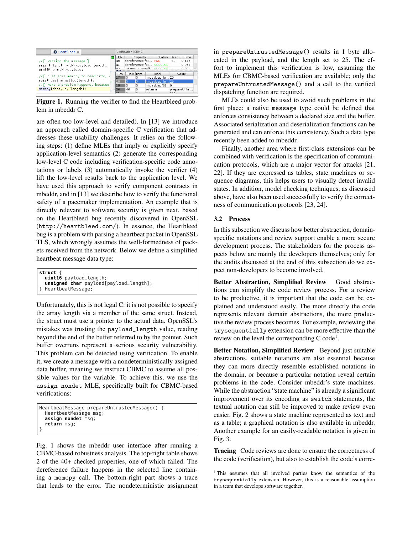| <b>O</b> HeartBleed x                  |            | Verification (CBMC) |          |        |                           |         |             |
|----------------------------------------|------------|---------------------|----------|--------|---------------------------|---------|-------------|
|                                        | Idx.       |                     |          |        | Property Status           | Trac    | Time        |
| //[ Parsing the message ]              | 40         |                     |          |        | dereference fail FAIL     | 59      | 0.44s       |
| size t length = $pM$ ->payload length; | 41         |                     |          |        | dereference fail SUCCESS  |         | 0.35s       |
| $uint8* p = pM->payload;$              | $\Lambda$  |                     |          |        | orithmotic quarti CUCCECC |         | 0.29e       |
|                                        | <b>ALT</b> |                     |          |        |                           |         |             |
| //[ Just some memory to read into, a   | Idx        |                     | Raw Thre |        | Kind                      |         | Value       |
|                                        |            | 0                   | $\circ$  |        | m.payload le 25           |         |             |
| $void* dest = malloc(lenqth);$         |            | lo                  | lo       |        | m.payload le 25           |         |             |
| //[ Here a problem happens, because    | 19         | 0                   | $\circ$  |        | m.payload[0]              | $\circ$ |             |
| memcpy(dest, p, length);               |            | 46                  | 0        | return |                           |         | prepareUnkn |
|                                        |            |                     |          |        |                           |         |             |

Figure 1. Running the verifier to find the Heartbleed problem in mbeddr C.

are often too low-level and detailed). In [13] we introduce an approach called domain-specific C verification that addresses these usability challenges. It relies on the following steps: (1) define MLEs that imply or explicitly specify application-level semantics (2) generate the corresponding low-level C code including verification-specific code annotations or labels (3) automatically invoke the verifier (4) lift the low-level results back to the application level. We have used this approach to verify component contracts in mbeddr, and in [13] we describe how to verify the functional safety of a pacemaker implementation. An example that is directly relevant to software security is given next, based on the Heartbleed bug recently discovered in OpenSSL (http://heartbleed.com/). In essence, the Heartbleed bug is a problem with parsing a heartbeat packet in OpenSSL TLS, which wrongly assumes the well-formedness of packets received from the network. Below we define a simplified heartbeat message data type:

**struct** { **uint16** payload\_length; **unsigned char** payload[payload\_length]; } HeartbeatMessage;

Unfortunately, this is not legal C: it is not possible to specify the array length via a member of the same struct. Instead, the struct must use a pointer to the actual data. OpenSSL's mistakes was trusting the payload\_length value, reading beyond the end of the buffer referred to by the pointer. Such buffer overruns represent a serious security vulnerability. This problem can be detected using verification. To enable it, we create a message with a nondeterministically assigned data buffer, meaning we instruct CBMC to assume all possible values for the variable. To achieve this, we use the assign nondet MLE, specifically built for CBMC-based verifications:

```
HeartbeatMessage prepareUntrustedMessage() {
  HeartbeatMessage msg;
  assign nondet msg;
  return msg;
}
```
Fig. 1 shows the mbeddr user interface after running a CBMC-based robustness analysis. The top-right table shows 2 of the 40+ checked properties, one of which failed. The dereference failure happens in the selected line containing a memcpy call. The bottom-right part shows a trace that leads to the error. The nondeterministic assignment in prepareUntrustedMessage() results in 1 byte allocated in the payload, and the length set to 25. The effort to implement this verification is low, assuming the MLEs for CBMC-based verification are available; only the prepareUntrustedMessage() and a call to the verified dispatching function are required.

MLEs could also be used to avoid such problems in the first place: a native message type could be defined that enforces consistency between a declared size and the buffer. Associated serialization and deserialization functions can be generated and can enforce this consistency. Such a data type recently been added to mbeddr.

Finally, another area where first-class extensions can be combined with verification is the specification of communication protocols, which are a major vector for attacks [21, 22]. If they are expressed as tables, state machines or sequence diagrams, this helps users to visually detect invalid states. In addition, model checking techniques, as discussed above, have also been used successfully to verify the correctness of communication protocols [23, 24].

#### 3.2 Process

In this subsection we discuss how better abstraction, domainspecific notations and review support enable a more secure development process. The stakeholders for the process aspects below are mainly the developers themselves; only for the audits discussed at the end of this subsection do we expect non-developers to become involved.

Better Abstraction, Simplified Review Good abstractions can simplify the code review process. For a review to be productive, it is important that the code can be explained and understood easily. The more directly the code represents relevant domain abstractions, the more productive the review process becomes. For example, reviewing the trysequentially extension can be more effective than the review on the level the corresponding C code<sup>1</sup>.

Better Notation, Simplified Review Beyond just suitable abstractions, suitable notations are also essential because they can more directly resemble established notations in the domain, or because a particular notation reveal certain problems in the code. Consider mbeddr's state machines. While the abstraction "state machine" is already a significant improvement over its encoding as switch statements, the textual notation can still be improved to make review even easier. Fig. 2 shows a state machine represented as text and as a table; a graphical notation is also available in mbeddr. Another example for an easily-readable notation is given in Fig. 3.

Tracing Code reviews are done to ensure the correctness of the code (verification), but also to establish the code's corre-

<sup>1</sup> This assumes that all involved parties know the semantics of the trysequentially extension. However, this is a reasonable assumption in a team that develops software together.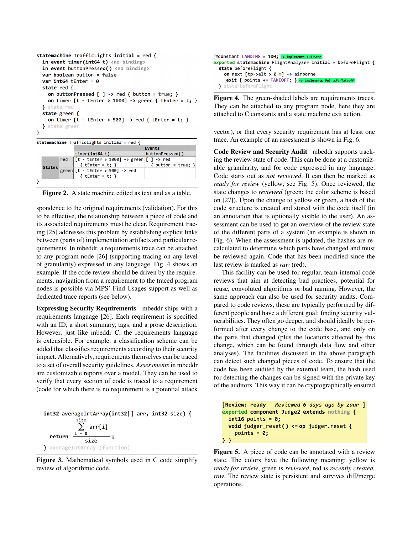```
statemachine TrafficLights initial = red {
 in event timer(int64 t) <no binding>
 in event buttonPressed() <no binding>
 var boolean button = false
 var int64 tEnter = 0state red {
   on buttonPressed [ ] -> red \{ button = true; \}on timer [t - tEnter > 1000] -> green { tEnter = t; }
 I state red
 state green {
   on timer [t - tEnter > 500] -> red { tEnter = t; }
 } state green
```

| statemachine $Trafficticients$ initial = red { |  |  |
|------------------------------------------------|--|--|
|                                                |  |  |

J.

|  |               |                                                 | <b>Events</b>            |
|--|---------------|-------------------------------------------------|--------------------------|
|  |               | timer(int64 t)                                  | buttonPressed()          |
|  |               | red   [t - tEnter > 1000] -> green $[$ ] -> red |                          |
|  | <b>States</b> | { $tEnter = t;$ }                               | $\{$ button = true; $\}$ |
|  |               | green $[t - \text{tEnter} > 500]$ -> red        |                          |
|  |               | $\{$ tEnter = t; $\}$                           |                          |
|  |               |                                                 |                          |
|  |               |                                                 |                          |

Figure 2. A state machine edited as text and as a table.

spondence to the original requirements (validation). For this to be effective, the relationship between a piece of code and its associated requirements must be clear. Requirement tracing [25] addresses this problem by establishing explicit links between (parts of) implementation artifacts and particular requirements. In mbeddr, a requirements trace can be attached to any program node [26] (supporting tracing on any level of granularity) expressed in any language. Fig. 4 shows an example. If the code review should be driven by the requirements, navigation from a requirement to the traced program nodes is possible via MPS' Find Usages support as well as dedicated trace reports (see below).

Expressing Security Requirements mbeddr ships with a requirements language [26]. Each requirement is specified with an ID, a short summary, tags, and a prose description. However, just like mbeddr C, the requirements language is extensible. For example, a classification scheme can be added that classifies requirements according to their security impact. Alternatively, requirements themselves can be traced to a set of overall security guidelines. *Assessments* in mbeddr are customizable reports over a model. They can be used to verify that every section of code is traced to a requirement (code for which there is no requirement is a potential attack

# int32 averageIntArray(int32[] arr, int32 size) {  $\sum_{\substack{i = 0 \\ \text{seturn}}}^{\text{size}} \frac{array[i]{}{\text{array}}}{\text{array}};$ averageIntArray (function)

Figure 3. Mathematical symbols used in C code simplify review of algorithmic code.

| <b>#CONStant</b> LANDING = $100; -\frac{1}{2}$ implements FullStop |  |  |  |  |
|--------------------------------------------------------------------|--|--|--|--|
| exported statemachine FlightAnalyzer initial = beforeFlight {      |  |  |  |  |
| state beforeFlight {                                               |  |  |  |  |
| on next $[tp > a]$ t > 0 m] -> airborne                            |  |  |  |  |
| <b>exit { points += TAKEOFF; }</b> > implements PointsForTakeoff   |  |  |  |  |
| state beforeFlight                                                 |  |  |  |  |

Figure 4. The green-shaded labels are requirements traces. They can be attached to any program node, here they are attached to C constants and a state machine exit action.

vector), or that every security requirement has at least one trace. An example of an assessment is shown in Fig. 6.

Code Review and Security Audit mbeddr supports tracking the review state of code. This can be done at a customizable granularity, and for code expressed in any language. Code starts out as *not reviewed*. It can then be marked as *ready for review* (yellow; see Fig. 5). Once reviewed, the state changes to *reviewed* (green; the color scheme is based on [27]). Upon the change to yellow or green, a hash of the code structure is created and stored with the code itself (in an annotation that is optionally visible to the user). An assessment can be used to get an overview of the review state of the different parts of a system (an example is shown in Fig. 6). When the assessment is updated, the hashes are recalculated to determine which parts have changed and must be reviewed again. Code that has been modified since the last review is marked as *raw* (red).

This facility can be used for regular, team-internal code reviews that aim at detecting bad practices, potential for reuse, convoluted algorithms or bad naming. However, the same approach can also be used for security audits. Compared to code reviews, these are typically performed by different people and have a different goal: finding security vulnerabilities. They often go deeper, and should ideally be performed after every change to the code base, and only on the parts that changed (plus the locations affected by this change, which can be found through data flow and other analyses). The facilities discussed in the above paragraph can detect such changed pieces of code. To ensure that the code has been audited by the external team, the hash used for detecting the changes can be signed with the private key of the auditors. This way it can be cryptographically ensured

```
[Review: ready
                 Reviewed 6 days ago by zaur ]
exported component Judge2 extends nothing {
 int16 points = 0;void judger_reset() <= op judger.reset {
    points = 0;\} }
```
Figure 5. A piece of code can be annotated with a review state. The colors have the following meaning: yellow is *ready for review*, green is *reviewed*, red is *recently created, raw*. The review state is persistent and survives diff/merge operations.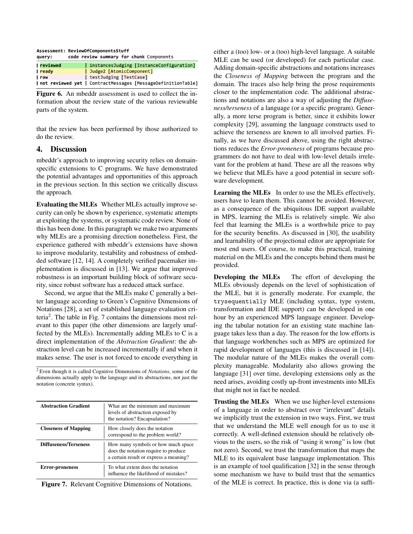| query: |                      | Assessment: ReviewOfComponentsStuff<br>code review summary for chunk Components |
|--------|----------------------|---------------------------------------------------------------------------------|
|        | I reviewed           | instancesJudging [InstanceConfiguration]                                        |
|        | $\blacksquare$ ready | Judge2 [AtomicComponent]                                                        |
|        | I raw                | testJudging [TestCase]                                                          |
|        |                      | not reviewed yet   ContractMessages [MessageDefinitionTable]                    |

Figure 6. An mbeddr assessment is used to collect the information about the review state of the various reviewable parts of the system.

that the review has been performed by those authorized to do the review.

#### 4. Discussion

mbeddr's approach to improving security relies on domainspecific extensions to C programs. We have demonstrated the potential advantages and opportunities of this approach in the previous section. In this section we critically discuss the approach.

Evaluating the MLEs Whether MLEs actually improve security can only be shown by experience, systematic attempts at exploiting the systems, or systematic code review. None of this has been done. In this paragraph we make two arguments why MLEs are a promising direction nonetheless. First, the experience gathered with mbeddr's extensions have shown to improve modularity, testability and robustness of embedded software [12, 14]. A completely verified pacemaker implementation is discussed in [13]. We argue that improved robustness is an important building block of software security, since robust software has a reduced attack surface.

Second, we argue that the MLEs make C generally a better language according to Green's Cognitive Dimensions of Notations [28], a set of established language evaluation criteria<sup>2</sup> . The table in Fig. 7 contains the dimensions most relevant to this paper (the other dimensions are largely unaffected by the MLEs). Incrementally adding MLEs to C is a direct implementation of the *Abstraction Gradient*: the abstraction level can be increased incrementally if and when it makes sense. The user is not forced to encode everything in

<sup>2</sup> Even though it is called Cognitive Dimensions of *Notations*, some of the dimensions actually apply to the language and its abstractions, not just the notation (concrete syntax).

| <b>Abstraction Gradient</b>  | What are the minimum and maximum<br>levels of abstraction exposed by<br>the notation? Encapsulation?                 |
|------------------------------|----------------------------------------------------------------------------------------------------------------------|
| <b>Closeness of Mapping</b>  | How closely does the notation<br>correspond to the problem world?                                                    |
| <b>Diffuseness/Terseness</b> | How many symbols or how much space<br>does the notation require to produce<br>a certain result or express a meaning? |
| <b>Error-proneness</b>       | To what extent does the notation<br>influence the likelihood of mistakes?                                            |

Figure 7. Relevant Cognitive Dimensions of Notations.

either a (too) low- or a (too) high-level language. A suitable MLE can be used (or developed) for each particular case. Adding domain-specific abstractions and notations increases the *Closeness of Mapping* between the program and the domain. The traces also help bring the prose requirements closer to the implementation code. The additional abstractions and notations are also a way of adjusting the *Diffuseness/terseness* of a language (or a specific program). Generally, a more terse program is better, since it exhibits lower complexity [29], assuming the language constructs used to achieve the terseness are known to all involved parties. Finally, as we have discussed above, using the right abstractions reduces the *Error-proneness* of programs because programmers do not have to deal with low-level details irrelevant for the problem at hand. These are all the reasons why we believe that MLEs have a good potential in secure software development.

Learning the MLEs In order to use the MLEs effectively, users have to learn them. This cannot be avoided. However, as a consequence of the ubiquitous IDE support available in MPS, learning the MLEs is relatively simple. We also feel that learning the MLEs is a worthwhile price to pay for the security benefits. As discussed in [30], the usability and learnability of the projectional editor are appropriate for most end users. Of course, to make this practical, training material on the MLEs and the concepts behind them must be provided.

Developing the MLEs The effort of developing the MLEs obviously depends on the level of sophistication of the MLE, but it is generally moderate. For example, the trysequentially MLE (including syntax, type system, transformation and IDE support) can be developed in one hour by an experienced MPS language engineer. Developing the tabular notation for an existing state machine language takes less than a day. The reason for the low efforts is that language workbenches such as MPS are optimized for rapid development of languages (this is discussed in [14]). The modular nature of the MLEs makes the overall complexity manageable. Modularity also allows growing the language [31] over time, developing extensions only as the need arises, avoiding costly up-front investments into MLEs that might not in fact be needed.

Trusting the MLEs When we use higher-level extensions of a language in order to abstract over "irrelevant" details we implicitly trust the extension in two ways. First, we trust that we understand the MLE well enough for us to use it correctly. A well-defined extension should be relatively obvious to the users, so the risk of "using it wrong" is low (but not zero). Second, we trust the transformation that maps the MLE to its equivalent base language implementation. This is an example of tool qualification [32] in the sense through some mechanism we have to build trust that the semantics of the MLE is correct. In practice, this is done via (a suffi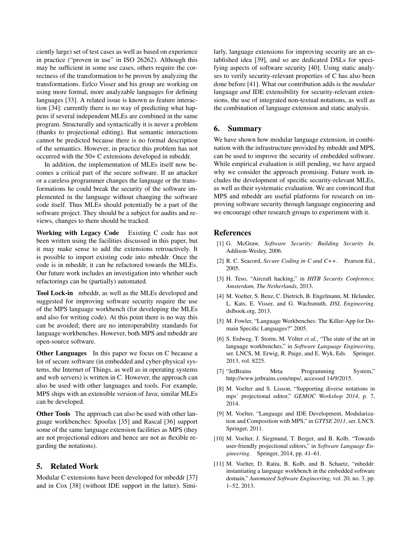ciently large) set of test cases as well as based on experience in practice ("proven in use" in ISO 26262). Although this may be sufficient in some use cases, others require the correctness of the transformation to be proven by analyzing the transformations. Eelco Visser and his group are working on using more formal, more analyzable languages for defining languages [33]. A related issue is known as feature interaction [34]: currently there is no way of predicting what happens if several independent MLEs are combined in the same program. Structurally and syntactically it is never a problem (thanks to projectional editing). But semantic interactions cannot be predicted because there is no formal description of the semantics. However, in practice this problem has not occurred with the 50+ C extensions developed in mbeddr.

In addition, the implementation of MLEs itself now becomes a critical part of the secure software. If an attacker or a careless programmer changes the language or the transformations he could break the security of the software implemented in the language without changing the software code itself. Thus MLEs should potentially be a part of the software project. They should be a subject for audits and reviews, changes to them should be tracked.

Working with Legacy Code Existing C code has not been written using the facilities discussed in this paper, but it may make sense to add the extensions retroactively. It is possible to import existing code into mbeddr. Once the code is in mbeddr, it can be refactored towards the MLEs. Our future work includes an investigation into whether such refactorings can be (partially) automated.

Tool Lock-in mbeddr, as well as the MLEs developed and suggested for improving software security require the use of the MPS language workbench (for developing the MLEs and also for writing code). At this point there is no way this can be avoided; there are no interoperability standards for language workbenches. However, both MPS and mbeddr are open-source software.

**Other Languages** In this paper we focus on C because a lot of secure software (in embedded and cyber-physical systems, the Internet of Things, as well as in operating systems and web servers) is written in C. However, the approach can also be used with other languages and tools. For example, MPS ships with an extensible version of Java; similar MLEs can be developed.

Other Tools The approach can also be used with other language workbenches: Spoofax [35] and Rascal [36] support some of the same language extension facilities as MPS (they are not projectional editors and hence are not as flexible regarding the notations).

# 5. Related Work

Modular C extensions have been developed for mbeddr [37] and in Cox [38] (without IDE support in the latter). Similarly, language extensions for improving security are an established idea [39], and so are dedicated DSLs for specifying aspects of software security [40]. Using static analyses to verify security-relevant properties of C has also been done before [41]. What our contribution adds is the *modular* language *and* IDE extensibility for security-relevant extensions, the use of integrated non-textual notations, as well as the combination of language extension and static analysis.

# 6. Summary

We have shown how modular language extension, in combination with the infrastructure provided by mbeddr and MPS, can be used to improve the security of embedded software. While empirical evaluation is still pending, we have argued why we consider the approach promising. Future work includes the development of specific security-relevant MLEs, as well as their systematic evaluation. We are convinced that MPS and mbeddr are useful platforms for research on improving software security through language engineering and we encourage other research groups to experiment with it.

#### References

- [1] G. McGraw, *Software Security: Building Security In*. Addison-Wesley, 2006.
- [2] R. C. Seacord, *Secure Coding in C and C++*. Pearson Ed., 2005.
- [3] H. Teso, "Aircraft hacking," in *HITB Security Conference, Amsterdam, The Netherlands*, 2013.
- [4] M. Voelter, S. Benz, C. Dietrich, B. Engelmann, M. Helander, L. Kats, E. Visser, and G. Wachsmuth, *DSL Engineering*. dslbook.org, 2013.
- [5] M. Fowler, "Language Workbenches: The Killer-App for Domain Specific Languages?" 2005.
- [6] S. Erdweg, T. Storm, M. Völter *et al.*, "The state of the art in language workbenches," in *Software Language Engineering*, ser. LNCS, M. Erwig, R. Paige, and E. Wyk, Eds. Springer, 2013, vol. 8225.
- [7] "JetBrains Meta Programming System," http://www.jetbrains.com/mps/, accessed 14/9/2015.
- [8] M. Voelter and S. Lisson, "Supporting diverse notations in mps' projectional editor," *GEMOC Workshop 2014*, p. 7, 2014.
- [9] M. Voelter, "Language and IDE Development, Modularization and Composition with MPS," in *GTTSE 2011*, ser. LNCS. Springer, 2011.
- [10] M. Voelter, J. Siegmund, T. Berger, and B. Kolb, "Towards user-friendly projectional editors," in *Software Language Engineering*. Springer, 2014, pp. 41–61.
- [11] M. Voelter, D. Ratiu, B. Kolb, and B. Schaetz, "mbeddr: instantiating a language workbench in the embedded software domain," *Automated Software Engineering*, vol. 20, no. 3, pp. 1–52, 2013.